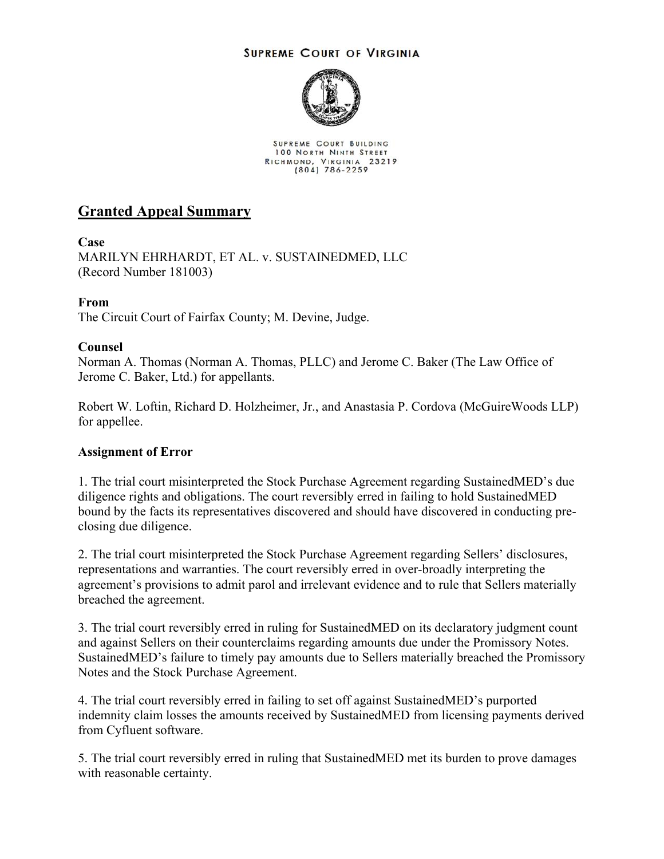#### **SUPREME COURT OF VIRGINIA**



SUPREME COURT BUILDING 100 NORTH NINTH STREET RICHMOND, VIRGINIA 23219

# **Granted Appeal Summary**

## **Case**

MARILYN EHRHARDT, ET AL. v. SUSTAINEDMED, LLC (Record Number 181003)

## **From**

The Circuit Court of Fairfax County; M. Devine, Judge.

#### **Counsel**

Norman A. Thomas (Norman A. Thomas, PLLC) and Jerome C. Baker (The Law Office of Jerome C. Baker, Ltd.) for appellants.

Robert W. Loftin, Richard D. Holzheimer, Jr., and Anastasia P. Cordova (McGuireWoods LLP) for appellee.

## **Assignment of Error**

1. The trial court misinterpreted the Stock Purchase Agreement regarding SustainedMED's due diligence rights and obligations. The court reversibly erred in failing to hold SustainedMED bound by the facts its representatives discovered and should have discovered in conducting preclosing due diligence.

2. The trial court misinterpreted the Stock Purchase Agreement regarding Sellers' disclosures, representations and warranties. The court reversibly erred in over-broadly interpreting the agreement's provisions to admit parol and irrelevant evidence and to rule that Sellers materially breached the agreement.

3. The trial court reversibly erred in ruling for SustainedMED on its declaratory judgment count and against Sellers on their counterclaims regarding amounts due under the Promissory Notes. SustainedMED's failure to timely pay amounts due to Sellers materially breached the Promissory Notes and the Stock Purchase Agreement.

4. The trial court reversibly erred in failing to set off against SustainedMED's purported indemnity claim losses the amounts received by SustainedMED from licensing payments derived from Cyfluent software.

5. The trial court reversibly erred in ruling that SustainedMED met its burden to prove damages with reasonable certainty.